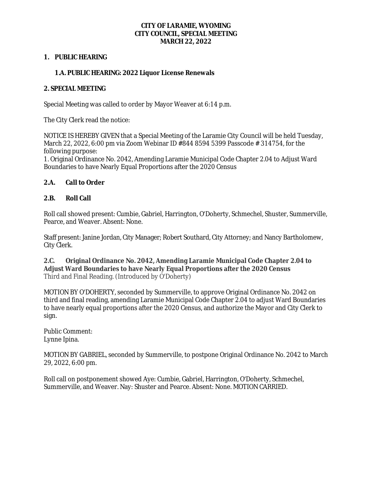#### **CITY OF LARAMIE, WYOMING CITY COUNCIL, SPECIAL MEETING MARCH 22, 2022**

### **1. PUBLIC HEARING**

## **1.A. PUBLIC HEARING: 2022 Liquor License Renewals**

### **2. SPECIAL MEETING**

Special Meeting was called to order by Mayor Weaver at 6:14 p.m.

The City Clerk read the notice:

NOTICE IS HEREBY GIVEN that a Special Meeting of the Laramie City Council will be held Tuesday, March 22, 2022, 6:00 pm via Zoom Webinar ID #844 8594 5399 Passcode # 314754, for the following purpose:

1. Original Ordinance No. 2042, Amending Laramie Municipal Code Chapter 2.04 to Adjust Ward Boundaries to have Nearly Equal Proportions after the 2020 Census

### **2.A. Call to Order**

### **2.B. Roll Call**

Roll call showed present: Cumbie, Gabriel, Harrington, O'Doherty, Schmechel, Shuster, Summerville, Pearce, and Weaver. Absent: None.

Staff present: Janine Jordan, City Manager; Robert Southard, City Attorney; and Nancy Bartholomew, City Clerk.

**2.C. Original Ordinance No. 2042, Amending Laramie Municipal Code Chapter 2.04 to Adjust Ward Boundaries to have Nearly Equal Proportions after the 2020 Census** Third and Final Reading. (Introduced by O'Doherty)

MOTION BY O'DOHERTY, seconded by Summerville, to approve Original Ordinance No. 2042 on third and final reading, amending Laramie Municipal Code Chapter 2.04 to adjust Ward Boundaries to have nearly equal proportions after the 2020 Census, and authorize the Mayor and City Clerk to sign.

Public Comment: Lynne Ipina.

MOTION BY GABRIEL, seconded by Summerville, to postpone Original Ordinance No. 2042 to March 29, 2022, 6:00 pm.

Roll call on postponement showed Aye: Cumbie, Gabriel, Harrington, O'Doherty, Schmechel, Summerville, and Weaver. Nay: Shuster and Pearce. Absent: None. MOTION CARRIED.